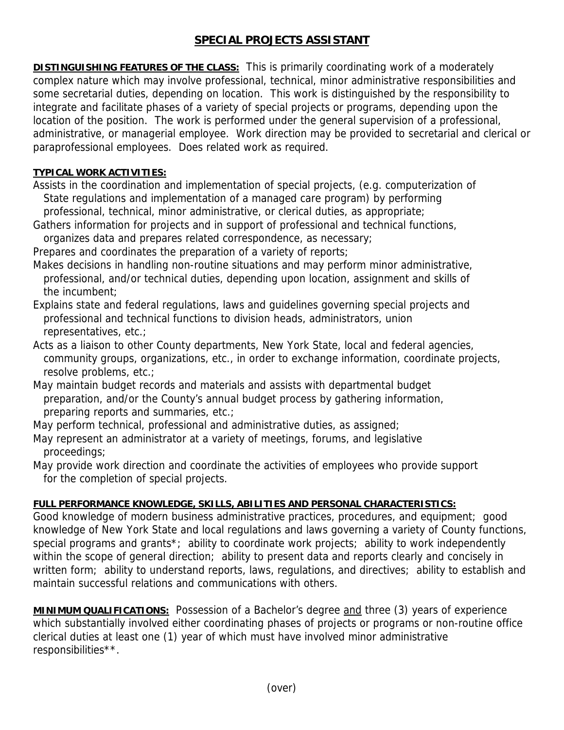## **SPECIAL PROJECTS ASSISTANT**

**DISTINGUISHING FEATURES OF THE CLASS:** This is primarily coordinating work of a moderately complex nature which may involve professional, technical, minor administrative responsibilities and some secretarial duties, depending on location. This work is distinguished by the responsibility to integrate and facilitate phases of a variety of special projects or programs, depending upon the location of the position. The work is performed under the general supervision of a professional, administrative, or managerial employee. Work direction may be provided to secretarial and clerical or paraprofessional employees. Does related work as required.

## **TYPICAL WORK ACTIVITIES:**

Assists in the coordination and implementation of special projects, (e.g. computerization of State regulations and implementation of a managed care program) by performing

 professional, technical, minor administrative, or clerical duties, as appropriate; Gathers information for projects and in support of professional and technical functions, organizes data and prepares related correspondence, as necessary;

Prepares and coordinates the preparation of a variety of reports;

- Makes decisions in handling non-routine situations and may perform minor administrative, professional, and/or technical duties, depending upon location, assignment and skills of the incumbent;
- Explains state and federal regulations, laws and guidelines governing special projects and professional and technical functions to division heads, administrators, union representatives, etc.;
- Acts as a liaison to other County departments, New York State, local and federal agencies, community groups, organizations, etc., in order to exchange information, coordinate projects, resolve problems, etc.;
- May maintain budget records and materials and assists with departmental budget preparation, and/or the County's annual budget process by gathering information, preparing reports and summaries, etc.;
- May perform technical, professional and administrative duties, as assigned;
- May represent an administrator at a variety of meetings, forums, and legislative proceedings;
- May provide work direction and coordinate the activities of employees who provide support for the completion of special projects.

## **FULL PERFORMANCE KNOWLEDGE, SKILLS, ABILITIES AND PERSONAL CHARACTERISTICS:**

Good knowledge of modern business administrative practices, procedures, and equipment; good knowledge of New York State and local regulations and laws governing a variety of County functions, special programs and grants<sup>\*</sup>; ability to coordinate work projects; ability to work independently within the scope of general direction; ability to present data and reports clearly and concisely in written form; ability to understand reports, laws, regulations, and directives; ability to establish and maintain successful relations and communications with others.

**MINIMUM QUALIFICATIONS:** Possession of a Bachelor's degree and three (3) years of experience which substantially involved either coordinating phases of projects or programs or non-routine office clerical duties at least one (1) year of which must have involved minor administrative responsibilities\*\*.